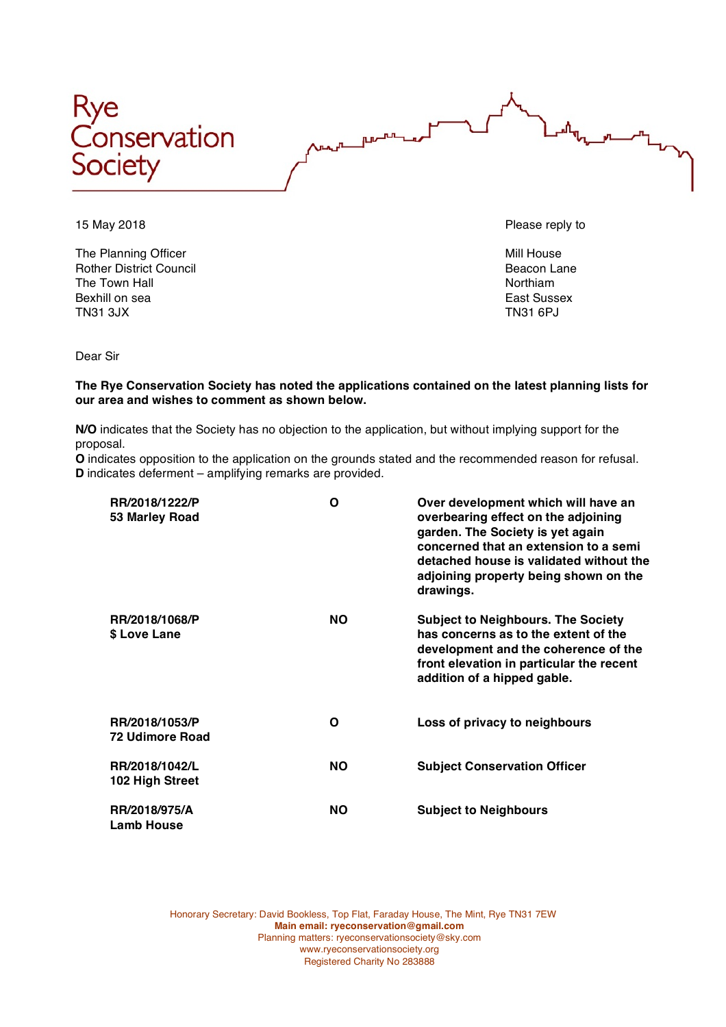



The Planning Officer Mill House and The Planning Officer Mill House Rother District Council and the Council and Council Beacon Lane Beacon Lane Beacon Lane Council and The Town Hall The Town Hall Bexhill on sea **East Sussex** East Sussex TN31 3JX TN31 6PJ

15 May 2018 Please reply to

Dear Sir

**The Rye Conservation Society has noted the applications contained on the latest planning lists for our area and wishes to comment as shown below.**

**N/O** indicates that the Society has no objection to the application, but without implying support for the proposal.

**O** indicates opposition to the application on the grounds stated and the recommended reason for refusal. **D** indicates deferment – amplifying remarks are provided.

| RR/2018/1222/P<br>53 Marley Road         | Ο         | Over development which will have an<br>overbearing effect on the adjoining<br>garden. The Society is yet again<br>concerned that an extension to a semi<br>detached house is validated without the<br>adjoining property being shown on the<br>drawings. |
|------------------------------------------|-----------|----------------------------------------------------------------------------------------------------------------------------------------------------------------------------------------------------------------------------------------------------------|
| RR/2018/1068/P<br>\$ Love Lane           | <b>NO</b> | <b>Subject to Neighbours. The Society</b><br>has concerns as to the extent of the<br>development and the coherence of the<br>front elevation in particular the recent<br>addition of a hipped gable.                                                     |
| RR/2018/1053/P<br><b>72 Udimore Road</b> | Ο         | Loss of privacy to neighbours                                                                                                                                                                                                                            |
| RR/2018/1042/L<br>102 High Street        | <b>NO</b> | <b>Subject Conservation Officer</b>                                                                                                                                                                                                                      |
| RR/2018/975/A<br><b>Lamb House</b>       | <b>NO</b> | <b>Subject to Neighbours</b>                                                                                                                                                                                                                             |

Honorary Secretary: David Bookless, Top Flat, Faraday House, The Mint, Rye TN31 7EW **Main email: ryeconservation@gmail.com** Planning matters: ryeconservationsociety@sky.com www.ryeconservationsociety.org Registered Charity No 283888